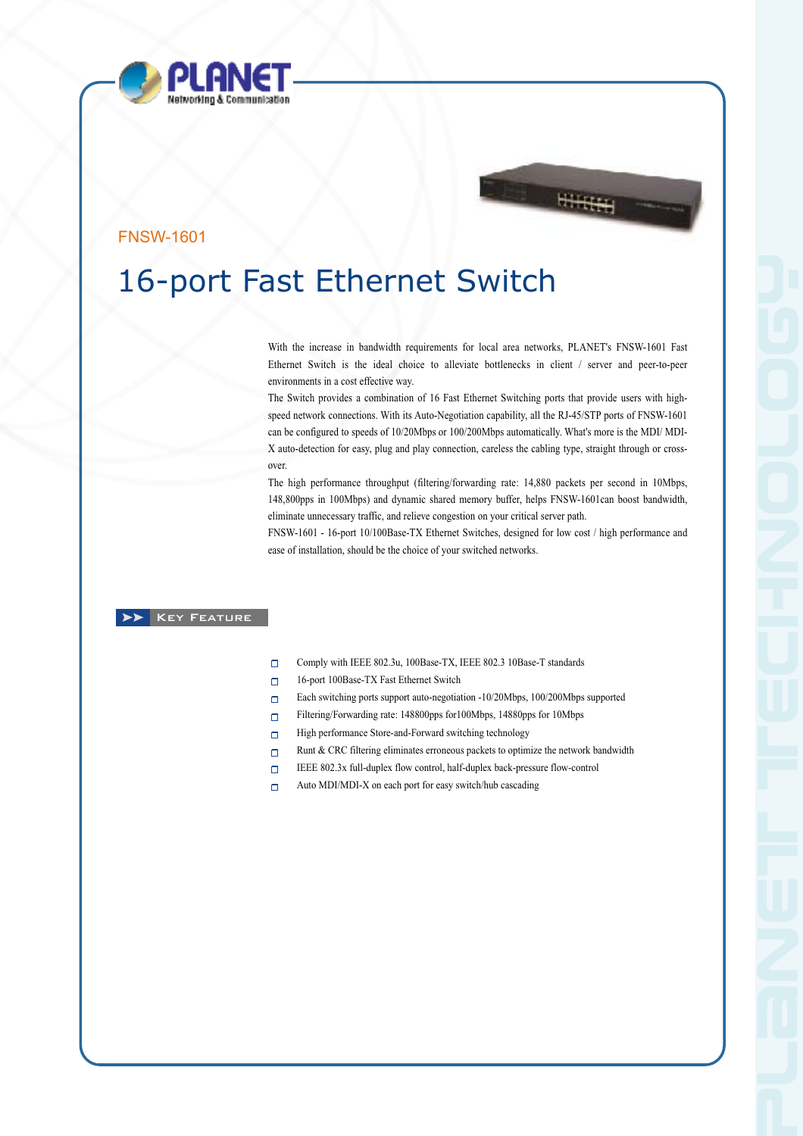



# FNSW-1601

# 16-port Fast Ethernet Switch

With the increase in bandwidth requirements for local area networks, PLANET's FNSW-1601 Fast Ethernet Switch is the ideal choice to alleviate bottlenecks in client / server and peer-to-peer environments in a cost effective way.

The Switch provides a combination of 16 Fast Ethernet Switching ports that provide users with highspeed network connections. With its Auto-Negotiation capability, all the RJ-45/STP ports of FNSW-1601 can be configured to speeds of 10/20Mbps or 100/200Mbps automatically. What's more is the MDI/ MDI-X auto-detection for easy, plug and play connection, careless the cabling type, straight through or crossover.

The high performance throughput (filtering/forwarding rate: 14,880 packets per second in 10Mbps, 148,800pps in 100Mbps) and dynamic shared memory buffer, helps FNSW-1601can boost bandwidth, eliminate unnecessary traffic, and relieve congestion on your critical server path.

FNSW-1601 - 16-port 10/100Base-TX Ethernet Switches, designed for low cost / high performance and ease of installation, should be the choice of your switched networks.

# **XX** KEY FEATURE

- $\Box$ Comply with IEEE 802.3u, 100Base-TX, IEEE 802.3 10Base-T standards
- 16-port 100Base-TX Fast Ethernet Switch  $\Box$
- $\Box$ Each switching ports support auto-negotiation -10/20Mbps, 100/200Mbps supported
- Filtering/Forwarding rate: 148800pps for100Mbps, 14880pps for 10Mbps  $\Box$
- High performance Store-and-Forward switching technology  $\Box$
- Runt & CRC filtering eliminates erroneous packets to optimize the network bandwidth  $\Box$
- IEEE 802.3x full-duplex flow control, half-duplex back-pressure flow-control  $\Box$
- $\Box$ Auto MDI/MDI-X on each port for easy switch/hub cascading